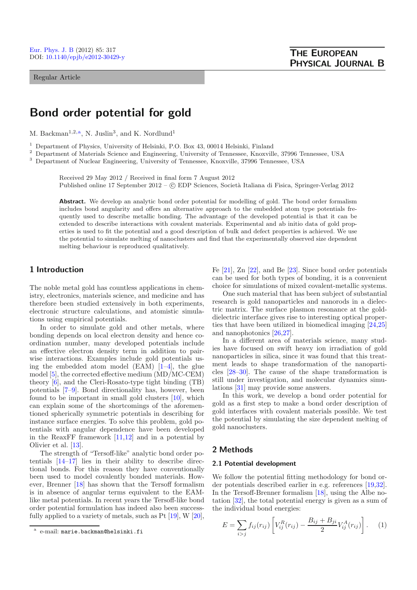Regular Article

# **Bond order potential for gold**

M. Backman<sup>1,2,a</sup>, N. Juslin<sup>3</sup>, and K. Nordlund<sup>1</sup>

<sup>1</sup> Department of Physics, University of Helsinki, P.O. Box 43, 00014 Helsinki, Finland

<sup>2</sup> Department of Materials Science and Engineering, University of Tennessee, Knoxville, 37996 Tennessee, USA

<sup>3</sup> Department of Nuclear Engineering, University of Tennessee, Knoxville, 37996 Tennessee, USA

Received 29 May 2012 / Received in final form 7 August 2012 Published online 17 September 2012 –  $\odot$  EDP Sciences, Società Italiana di Fisica, Springer-Verlag 2012

**Abstract.** We develop an analytic bond order potential for modelling of gold. The bond order formalism includes bond angularity and offers an alternative approach to the embedded atom type potentials frequently used to describe metallic bonding. The advantage of the developed potential is that it can be extended to describe interactions with covalent materials. Experimental and ab initio data of gold properties is used to fit the potential and a good description of bulk and defect properties is achieved. We use the potential to simulate melting of nanoclusters and find that the experimentally observed size dependent melting behaviour is reproduced qualitatively.

# **1 Introduction**

The noble metal gold has countless applications in chemistry, electronics, materials science, and medicine and has therefore been studied extensively in both experiments, electronic structure calculations, and atomistic simulations using empirical potentials.

In order to simulate gold and other metals, where bonding depends on local electron density and hence coordination number, many developed potentials include an effective electron density term in addition to pairwise interactions. Examples include gold potentials using the embedded atom model  $(EAM)$  [\[1](#page-4-0)[–4](#page-4-1)], the glue model [\[5](#page-4-2)], the corrected effective medium (MD/MC-CEM) theory [\[6\]](#page-4-3), and the Cleri-Rosato-type tight binding (TB) potentials [\[7](#page-4-4)[–9](#page-4-5)]. Bond directionality has, however, been found to be important in small gold clusters [\[10\]](#page-4-6), which can explain some of the shortcomings of the aforementioned spherically symmetric potentials in describing for instance surface energies. To solve this problem, gold potentials with angular dependence have been developed in the ReaxFF framework [\[11](#page-4-7)[,12](#page-4-8)] and in a potential by Olivier et al. [\[13](#page-4-9)].

The strength of "Tersoff-like" analytic bond order potentials [\[14](#page-4-10)[–17\]](#page-4-11) lies in their ability to describe directional bonds. For this reason they have conventionally been used to model covalently bonded materials. However, Brenner [\[18](#page-4-12)] has shown that the Tersoff formalism is in absence of angular terms equivalent to the EAMlike metal potentials. In recent years the Tersoff-like bond order potential formulation has indeed also been successfully applied to a variety of metals, such as Pt [\[19](#page-4-13)], W [\[20](#page-4-14)],

Fe [\[21](#page-4-15)], Zn [\[22](#page-4-16)], and Be [\[23\]](#page-4-17). Since bond order potentials can be used for both types of bonding, it is a convenient choice for simulations of mixed covalent-metallic systems.

One such material that has been subject of substantial research is gold nanoparticles and nanorods in a dielectric matrix. The surface plasmon resonance at the golddielectric interface gives rise to interesting optical properties that have been utilized in biomedical imaging [\[24](#page-4-18)[,25\]](#page-4-19) and nanophotonics [\[26](#page-4-20)[,27\]](#page-4-21).

In a different area of materials science, many studies have focused on swift heavy ion irradiation of gold nanoparticles in silica, since it was found that this treatment leads to shape transformation of the nanoparticles [\[28](#page-4-22)[–30](#page-4-23)]. The cause of the shape transformation is still under investigation, and molecular dynamics simulations [\[31\]](#page-4-24) may provide some answers.

In this work, we develop a bond order potential for gold as a first step to make a bond order description of gold interfaces with covalent materials possible. We test the potential by simulating the size dependent melting of gold nanoclusters.

## **2 Methods**

## **2.1 Potential development**

We follow the potential fitting methodology for bond order potentials described earlier in e.g. references [\[19](#page-4-13)[,32\]](#page-4-25). In the Tersoff-Brenner formalism [\[18](#page-4-12)], using the Albe notation [\[32\]](#page-4-25), the total potential energy is given as a sum of the individual bond energies:

$$
E = \sum_{i>j} f_{ij}(r_{ij}) \left[ V_{ij}^R(r_{ij}) - \frac{B_{ij} + B_{ji}}{2} V_{ij}^A(r_{ij}) \right].
$$
 (1)

e-mail: marie.backman@helsinki.fi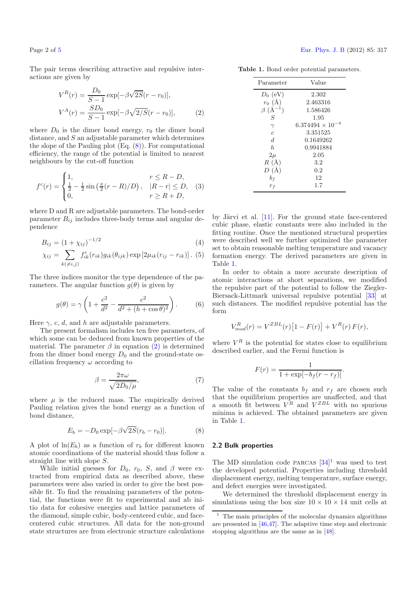<span id="page-1-1"></span>The pair terms describing attractive and repulsive interactions are given by

$$
V^{R}(r) = \frac{D_{0}}{S-1} \exp[-\beta \sqrt{2S}(r-r_{0})],
$$
  
\n
$$
V^{A}(r) = \frac{SD_{0}}{S-1} \exp[-\beta \sqrt{2/S}(r-r_{0})],
$$
\n(2)

where  $D_0$  is the dimer bond energy,  $r_0$  the dimer bond distance, and S an adjustable parameter which determines the slope of the Pauling plot  $(Eq. (8))$  $(Eq. (8))$  $(Eq. (8))$ . For computational efficiency, the range of the potential is limited to nearest neighbours by the cut-off function

$$
f^{c}(r) = \begin{cases} 1, & r \le R - D, \\ \frac{1}{2} - \frac{1}{2} \sin\left(\frac{\pi}{2}(r - R)/D\right), & |R - r| \le D, \\ 0, & r \ge R + D, \end{cases}
$$
 (3)

where D and R are adjustable parameters. The bond-order parameter  $B_{ij}$  includes three-body terms and angular dependence

$$
B_{ij} = (1 + \chi_{ij})^{-1/2}
$$
 (4)

$$
\chi_{ij} = \sum_{k(\neq i,j)} f_{ik}^c(r_{ik}) g_{ik}(\theta_{ijk}) \exp [2\mu_{ik}(r_{ij} - r_{ik})].
$$
 (5)

The three indices monitor the type dependence of the parameters. The angular function  $g(\theta)$  is given by

$$
g(\theta) = \gamma \left( 1 + \frac{c^2}{d^2} - \frac{c^2}{d^2 + (h + \cos \theta)^2} \right). \tag{6}
$$

<span id="page-1-0"></span>Here  $\gamma$ , c, d, and h are adjustable parameters.

The present formalism includes ten free parameters, of which some can be deduced from known properties of the material. The parameter  $\beta$  in equation [\(2\)](#page-1-1) is determined from the dimer bond energy  $D_0$  and the ground-state oscillation frequency  $\omega$  according to

$$
\beta = \frac{2\pi\omega}{\sqrt{2D_0/\mu}},\tag{7}
$$

where  $\mu$  is the reduced mass. The empirically derived Pauling relation gives the bond energy as a function of bond distance,

$$
E_b = -D_0 \exp[-\beta \sqrt{2S}(r_b - r_0)].
$$
 (8)

A plot of  $ln(E_b)$  as a function of  $r_b$  for different known atomic coordinations of the material should thus follow a straight line with slope S.

While initial guesses for  $D_0$ ,  $r_0$ ,  $S$ , and  $\beta$  were extracted from empirical data as described above, these parameters were also varied in order to give the best possible fit. To find the remaining parameters of the potential, the functions were fit to experimental and ab initio data for cohesive energies and lattice parameters of the diamond, simple cubic, body-centered cubic, and facecentered cubic structures. All data for the non-ground state structures are from electronic structure calculations

| Parameter            | Value                |
|----------------------|----------------------|
| $D_0$ (eV)           | 2.302                |
| $r_0(\AA)$           | 2.463316             |
| $\beta$ $(\AA^{-1})$ | 1.586426             |
| S                    | 1.95                 |
| $\gamma$             | 6.374494 $\times$ 10 |
| $\overline{c}$       | 3.351525             |
| $\overline{d}$       | 0.1649262            |
| $\boldsymbol{h}$     | 0.9941884            |
| $2\mu$               | 2.05                 |
| $R(\AA)$             | 3.2                  |
| $D(\AA)$             | 0.2                  |
| $b_f$                | 12                   |
| $r_f$                | $1.7\,$              |

<span id="page-1-2"></span>**Table 1.** Bond order potential parameters.

by Järvi et al.  $[11]$  $[11]$ . For the ground state face-centered cubic phase, elastic constants were also included in the fitting routine. Once the mentioned structural properties were described well we further optimized the parameter set to obtain reasonable melting temperature and vacancy formation energy. The derived parameters are given in Table [1.](#page-1-2)

In order to obtain a more accurate description of atomic interactions at short separations, we modified the repulsive part of the potential to follow the Ziegler-Biersack-Littmark universal repulsive potential [\[33\]](#page-4-27) at such distances. The modified repulsive potential has the form

$$
V_{mod}^{R}(r) = V^{ZBL}(r)[1 - F(r)] + V^{R}(r) F(r),
$$

where  $V^R$  is the potential for states close to equilibrium described earlier, and the Fermi function is

$$
F(r) = \frac{1}{1 + \exp[-b_f(r - r_f)]}.
$$

The value of the constants  $b_f$  and  $r_f$  are chosen such that the equilibrium properties are unaffected, and that a smooth fit between  $V^R$  and  $V^{ZBL}$  with no spurious minima is achieved. The obtained parameters are given in Table [1.](#page-1-2)

#### <span id="page-1-3"></span>**2.2 Bulk properties**

The MD simulation code PARCAS  $[34]$  $[34]$ <sup>[1](#page-1-3)</sup> was used to test the developed potential. Properties including threshold displacement energy, melting temperature, surface energy, and defect energies were investigated.

We determined the threshold displacement energy in simulations using the box size  $10\times10\times14$  unit cells at

 $^{\rm 1}$  The main principles of the molecular dynamics algorithms are presented in [\[46](#page-4-29)[,47\]](#page-4-30). The adaptive time step and electronic stopping algorithms are the same as in [\[48](#page-4-31)].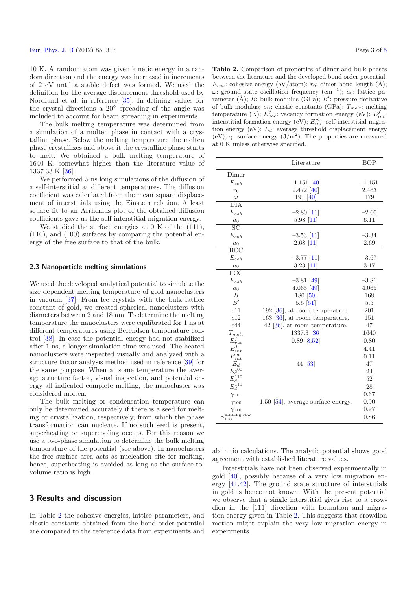10 K. A random atom was given kinetic energy in a random direction and the energy was increased in increments of 2 eV until a stable defect was formed. We used the definition for the average displacement threshold used by Nordlund et al. in reference [\[35](#page-4-32)]. In defining values for the crystal directions a 20◦ spreading of the angle was included to account for beam spreading in experiments.

The bulk melting temperature was determined from a simulation of a molten phase in contact with a crystalline phase. Below the melting temperature the molten phase crystallizes and above it the crystalline phase starts to melt. We obtained a bulk melting temperature of 1640 K, somewhat higher than the literature value of 1337.33 K [\[36\]](#page-4-33).

We performed 5 ns long simulations of the diffusion of a self-interstitial at different temperatures. The diffusion coefficient was calculated from the mean square displacement of interstitials using the Einstein relation. A least square fit to an Arrhenius plot of the obtained diffusion coefficients gave us the self-interstitial migration energy.

We studied the surface energies at 0 K of the (111), (110), and (100) surfaces by comparing the potential energy of the free surface to that of the bulk.

## **2.3 Nanoparticle melting simulations**

We used the developed analytical potential to simulate the size dependent melting temperature of gold nanoclusters in vacuum [\[37\]](#page-4-34). From fcc crystals with the bulk lattice constant of gold, we created spherical nanoclusters with diameters between 2 and 18 nm. To determine the melting temperature the nanoclusters were equlibrated for 1 ns at different temperatures using Berendsen temperature control [\[38\]](#page-4-35). In case the potential energy had not stabilized after 1 ns, a longer simulation time was used. The heated nanoclusters were inspected visually and analyzed with a structure factor analysis method used in reference [\[39\]](#page-4-36) for the same purpose. When at some temperature the average structure factor, visual inspection, and potential energy all indicated complete melting, the nanocluster was considered molten.

The bulk melting or condensation temperature can only be determined accurately if there is a seed for melting or crystallization, respectively, from which the phase transformation can nucleate. If no such seed is present, superheating or supercooling occurs. For this reason we use a two-phase simulation to determine the bulk melting temperature of the potential (see above). In nanoclusters the free surface area acts as nucleation site for melting, hence, superheating is avoided as long as the surface-tovolume ratio is high.

## **3 Results and discussion**

In Table [2](#page-2-0) the cohesive energies, lattice parameters, and elastic constants obtained from the bond order potential are compared to the reference data from experiments and

<span id="page-2-0"></span>**Table 2.** Comparison of properties of dimer and bulk phases between the literature and the developed bond order potential.  $E_{coh}$ : cohesive energy (eV/atom);  $r_0$ : dimer bond length (Å);  $ω$ : ground state oscillation frequency (cm<sup>-1</sup>);  $a_0$ : lattice parameter (Å); B: bulk modulus (GPa);  $B'$ : pressure derivative of bulk modulus; c*ij* : elastic constants (GPa); T*melt*: melting temperature (K);  $E_{vac}^f$ : vacancy formation energy (eV);  $E_{int}^f$ : interstitial formation energy (eV);  $E_{int}^{m}$ : self-interstitial migration energy (eV); E*d*: average threshold displacement energy (eV);  $\gamma$ : surface energy (J/m<sup>2</sup>). The properties are measured at 0 K unless otherwise specified.

|                                                            | Literature                           | <b>BOP</b> |
|------------------------------------------------------------|--------------------------------------|------------|
| Dimer                                                      |                                      |            |
| $E_{\small coh}$                                           | $-1.151$ [40]                        | $-1.151$   |
| $r_0$                                                      | 2.472 [40]                           | 2.463      |
| $\omega$                                                   | 191 [40]                             | 179        |
| $\overline{DIA}$                                           |                                      |            |
| $E_{coh}$                                                  | $-2.80$ [11]                         | $-2.60$    |
| $a_0$                                                      | $5.98 \; [11]$                       | 6.11       |
| $\overline{SC}$                                            |                                      |            |
| $E_{\small coh}$                                           | $-3.53$ [11]                         | $-3.34$    |
| a <sub>0</sub>                                             | $2.68$ [11]                          | 2.69       |
| <b>BCC</b>                                                 |                                      |            |
| $E_{coh}$                                                  | $-3.77$ [11]                         | $-3.67$    |
| $a_0$                                                      | $3.23$ [11]                          | 3.17       |
| $\overline{FCC}$                                           |                                      |            |
| $E_{coh}$                                                  | $-3.81$ [49]                         | $-3.81$    |
| a <sub>0</sub>                                             | 4.065 [49]                           | 4.065      |
| $\overline{B}$                                             | 180 [50]                             | 168        |
| B'                                                         | $5.5$ [ $51$ ]                       | 5.5        |
| c11                                                        | 192 [ $36$ ], at room temperature.   | 201        |
| c12                                                        | 163 $[36]$ , at room temperature.    | 151        |
| c44                                                        | $42$ [ $36$ ], at room temperature.  | 47         |
| $T_{melt}$                                                 | 1337.3 [36]                          | 1640       |
| $E_{\it vac}^f$                                            | $0.89$ [8,52]                        | 0.80       |
| $E_{int}^f\\ E_{int}^m$                                    |                                      | 4.41       |
|                                                            |                                      | 0.11       |
| $E_d$                                                      | 44 [53]                              | 47         |
| $\begin{array}{c} E^{1\bar{0}0}_d \ E^{110}_d \end{array}$ |                                      | 24         |
|                                                            |                                      | 52         |
| $E_d^{\rm 111}$                                            |                                      | 28         |
| $\gamma_{111}$                                             |                                      | 0.67       |
| $\gamma_{100}$                                             | $1.50$ [54], average surface energy. | 0.90       |
| $\gamma_{110}$                                             |                                      | 0.97       |
| missing row<br>Y110                                        |                                      | 0.86       |

ab initio calculations. The analytic potential shows good agreement with established literature values.

Interstitials have not been observed experimentally in gold  $[40]$ , possibly because of a very low migration energy [\[41](#page-4-45)[,42\]](#page-4-46). The ground state structure of interstitials in gold is hence not known. With the present potential we observe that a single interstitial gives rise to a crowdion in the [111] direction with formation and migration energy given in Table [2.](#page-2-0) This suggests that crowdion motion might explain the very low migration energy in experiments.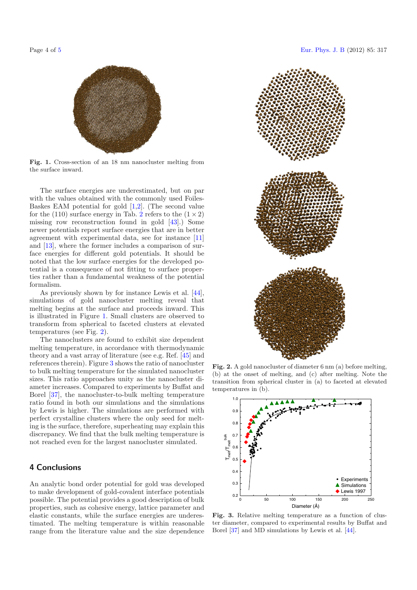<span id="page-3-0"></span>



**Fig. 1.** Cross-section of an 18 nm nanocluster melting from the surface inward.

The surface energies are underestimated, but on par with the values obtained with the commonly used Foiles-Baskes EAM potential for gold [\[1](#page-4-0)[,2\]](#page-4-47). (The second value for the (110) surface energy in Tab. [2](#page-2-0) refers to the  $(1 \times 2)$ missing row reconstruction found in gold [\[43\]](#page-4-48).) Some newer potentials report surface energies that are in better agreement with experimental data, see for instance [\[11\]](#page-4-7) and [\[13\]](#page-4-9), where the former includes a comparison of surface energies for different gold potentials. It should be noted that the low surface energies for the developed potential is a consequence of not fitting to surface properties rather than a fundamental weakness of the potential formalism.

As previously shown by for instance Lewis et al. [\[44\]](#page-4-49), simulations of gold nanocluster melting reveal that melting begins at the surface and proceeds inward. This is illustrated in Figure [1.](#page-3-0) Small clusters are observed to transform from spherical to faceted clusters at elevated temperatures (see Fig. [2\)](#page-3-1).

The nanoclusters are found to exhibit size dependent melting temperature, in accordance with thermodynamic theory and a vast array of literature (see e.g. Ref. [\[45\]](#page-4-50) and references therein). Figure [3](#page-3-2) shows the ratio of nanocluster to bulk melting temperature for the simulated nanocluster sizes. This ratio approaches unity as the nanocluster diameter increases. Compared to experiments by Buffat and Borel [\[37\]](#page-4-34), the nanocluster-to-bulk melting temperature ratio found in both our simulations and the simulations by Lewis is higher. The simulations are performed with perfect crystalline clusters where the only seed for melting is the surface, therefore, superheating may explain this discrepancy. We find that the bulk melting temperature is not reached even for the largest nanocluster simulated.

# **4 Conclusions**

An analytic bond order potential for gold was developed to make development of gold-covalent interface potentials possible. The potential provides a good description of bulk properties, such as cohesive energy, lattice parameter and elastic constants, while the surface energies are underestimated. The melting temperature is within reasonable range from the literature value and the size dependence



<span id="page-3-1"></span>**Fig. 2.** A gold nanocluster of diameter 6 nm (a) before melting, (b) at the onset of melting, and (c) after melting. Note the transition from spherical cluster in (a) to faceted at elevated temperatures in (b).

<span id="page-3-2"></span>

**Fig. 3.** Relative melting temperature as a function of cluster diameter, compared to experimental results by Buffat and Borel [\[37](#page-4-34)] and MD simulations by Lewis et al. [\[44](#page-4-49)].